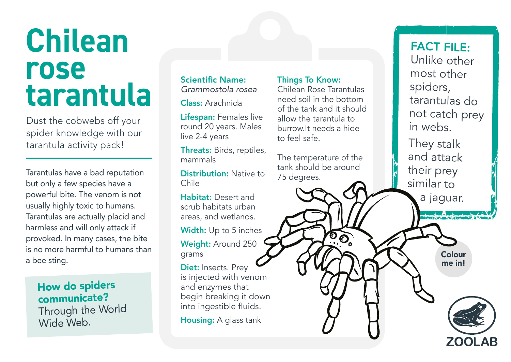## **Chilean rose tarantula**

Dust the cobwebs off your spider knowledge with our tarantula activity pack!

Tarantulas have a bad reputation but only a few species have a powerful bite. The venom is not usually highly toxic to humans. Tarantulas are actually placid and harmless and will only attack if provoked. In many cases, the bite is no more harmful to humans than a bee sting.

## How do spiders communicate?

Through the World Wide Web.

Scientific Name: *Grammostola rosea*

Class: Arachnida

Lifespan: Females live round 20 years. Males live 2-4 years

Threats: Birds, reptiles, mammals

Distribution: Native to Chile

Habitat: Desert and scrub habitats urban areas, and wetlands.

Width: Up to 5 inches Weight: Around 250 grams

Diet: Insects. Prey is injected with venom and enzymes that begin breaking it down into ingestible fluids.

**Housing:** A glass tank

## Things To Know:

Chilean Rose Tarantulas need soil in the bottom of the tank and it should allow the tarantula to burrow.It needs a hide to feel safe.

The temperature of the tank should be around 75 degrees.

FACT FILE: Unlike other most other spiders, tarantulas do not catch prey in webs.

They stalk and attack their prey similar to a jaguar.

> Colour me in!

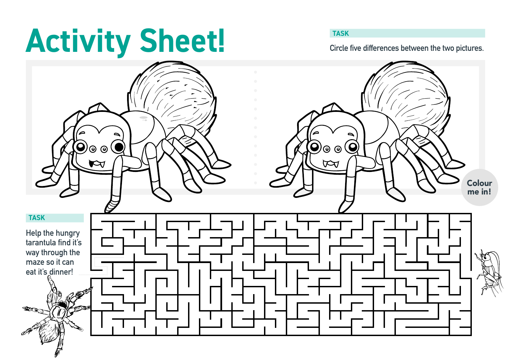## Activity Sheet! *Change Change Circle five differences between the two pictures.*